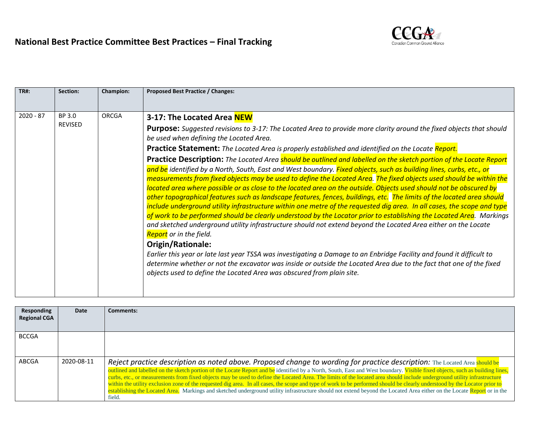

| <b>TR#:</b> | Section:                 | <b>Champion:</b> | <b>Proposed Best Practice / Changes:</b>                                                                                                                                                                                                                                                                                                                                                                                                                                                                                                                                                                                                                                                                                                                                                                                                                                                                                                                                                                                                                                                                                                                                                                                                                                                                                                                                                                                                                                                                                                                                                                                                                                                |
|-------------|--------------------------|------------------|-----------------------------------------------------------------------------------------------------------------------------------------------------------------------------------------------------------------------------------------------------------------------------------------------------------------------------------------------------------------------------------------------------------------------------------------------------------------------------------------------------------------------------------------------------------------------------------------------------------------------------------------------------------------------------------------------------------------------------------------------------------------------------------------------------------------------------------------------------------------------------------------------------------------------------------------------------------------------------------------------------------------------------------------------------------------------------------------------------------------------------------------------------------------------------------------------------------------------------------------------------------------------------------------------------------------------------------------------------------------------------------------------------------------------------------------------------------------------------------------------------------------------------------------------------------------------------------------------------------------------------------------------------------------------------------------|
|             |                          |                  |                                                                                                                                                                                                                                                                                                                                                                                                                                                                                                                                                                                                                                                                                                                                                                                                                                                                                                                                                                                                                                                                                                                                                                                                                                                                                                                                                                                                                                                                                                                                                                                                                                                                                         |
| $2020 - 87$ | BP 3.0<br><b>REVISED</b> | ORCGA            | 3-17: The Located Area NEW<br><b>Purpose:</b> Suggested revisions to 3-17: The Located Area to provide more clarity around the fixed objects that should<br>be used when defining the Located Area.<br><b>Practice Statement:</b> The Located Area is properly established and identified on the Locate Report.<br>Practice Description: The Located Area should be outlined and labelled on the sketch portion of the Locate Report<br>and be identified by a North, South, East and West boundary. Fixed objects, such as building lines, curbs, etc., or<br>measurements from fixed objects may be used to define the Located Area. The fixed objects used should be within the<br>located area where possible or as close to the located area on the outside. Objects used should not be obscured by<br>other topographical features such as landscape features, fences, buildings, etc. The limits of the located area should<br>include underground utility infrastructure within one metre of the requested dig area. In all cases, the scope and type<br>of work to be performed should be clearly understood by the Locator prior to establishing the Located Area. Markings<br>and sketched underground utility infrastructure should not extend beyond the Located Area either on the Locate<br><b>Report</b> or in the field.<br>Origin/Rationale:<br>Earlier this year or late last year TSSA was investigating a Damage to an Enbridge Facility and found it difficult to<br>determine whether or not the excavator was inside or outside the Located Area due to the fact that one of the fixed<br>objects used to define the Located Area was obscured from plain site. |
|             |                          |                  |                                                                                                                                                                                                                                                                                                                                                                                                                                                                                                                                                                                                                                                                                                                                                                                                                                                                                                                                                                                                                                                                                                                                                                                                                                                                                                                                                                                                                                                                                                                                                                                                                                                                                         |

| Responding<br><b>Regional CGA</b> | Date       | <b>Comments:</b>                                                                                                                                                                                                                                                                                                                                                                                                                                                                                                                                                                                                                                                                                                                                                                                                                                           |
|-----------------------------------|------------|------------------------------------------------------------------------------------------------------------------------------------------------------------------------------------------------------------------------------------------------------------------------------------------------------------------------------------------------------------------------------------------------------------------------------------------------------------------------------------------------------------------------------------------------------------------------------------------------------------------------------------------------------------------------------------------------------------------------------------------------------------------------------------------------------------------------------------------------------------|
| <b>BCCGA</b>                      |            |                                                                                                                                                                                                                                                                                                                                                                                                                                                                                                                                                                                                                                                                                                                                                                                                                                                            |
| ABCGA                             | 2020-08-11 | Reject practice description as noted above. Proposed change to wording for practice description: The Located Area should be<br>outlined and labelled on the sketch portion of the Locate Report and be identified by a North, South, East and West boundary. Visible fixed objects, such as building lines,<br>curbs, etc., or measurements from fixed objects may be used to define the Located Area. The limits of the located area should include underground utility infrastructure<br>within the utility exclusion zone of the requested dig area. In all cases, the scope and type of work to be performed should be clearly understood by the Locator prior to<br>establishing the Located Area. Markings and sketched underground utility infrastructure should not extend beyond the Located Area either on the Locate Report or in the<br>field. |